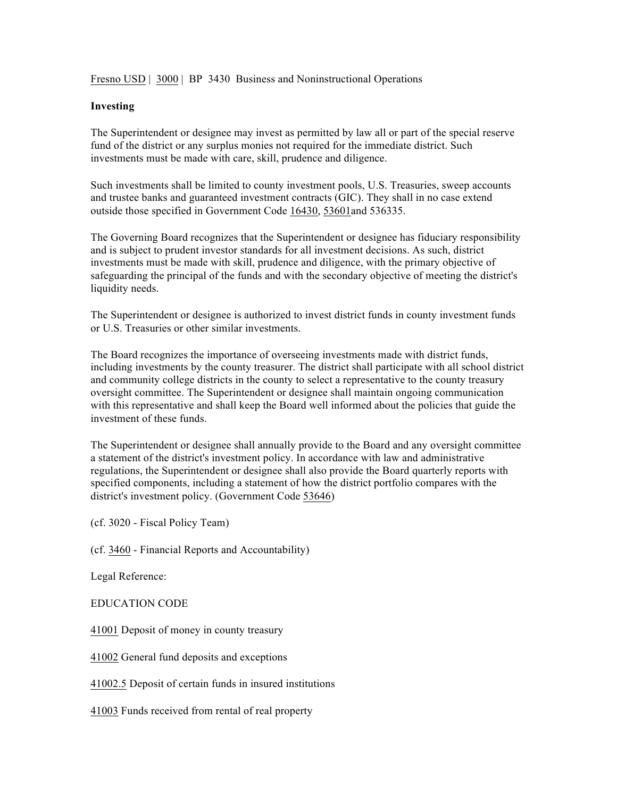Fresno USD | 3000 | BP 3430 Business and Noninstructional Operations

## **Investing**

The Superintendent or designee may invest as permitted by law all or part of the special reserve fund of the district or any surplus monies not required for the immediate district. Such investments must be made with care, skill, prudence and diligence.

Such investments shall be limited to county investment pools, U.S. Treasuries, sweep accounts and trustee banks and guaranteed investment contracts (GIC). They shall in no case extend outside those specified in Government Code 16430, 53601and 536335.

The Governing Board recognizes that the Superintendent or designee has fiduciary responsibility and is subject to prudent investor standards for all investment decisions. As such, district investments must be made with skill, prudence and diligence, with the primary objective of safeguarding the principal of the funds and with the secondary objective of meeting the district's liquidity needs.

The Superintendent or designee is authorized to invest district funds in county investment funds or U.S. Treasuries or other similar investments.

The Board recognizes the importance of overseeing investments made with district funds, including investments by the county treasurer. The district shall participate with all school district and community college districts in the county to select a representative to the county treasury oversight committee. The Superintendent or designee shall maintain ongoing communication with this representative and shall keep the Board well informed about the policies that guide the investment of these funds.

The Superintendent or designee shall annually provide to the Board and any oversight committee a statement of the district's investment policy. In accordance with law and administrative regulations, the Superintendent or designee shall also provide the Board quarterly reports with specified components, including a statement of how the district portfolio compares with the district's investment policy. (Government Code 53646)

(cf. 3020 - Fiscal Policy Team)

(cf. 3460 - Financial Reports and Accountability)

Legal Reference:

EDUCATION CODE

41001 Deposit of money in county treasury

41002 General fund deposits and exceptions

41002.5 Deposit of certain funds in insured institutions

41003 Funds received from rental of real property